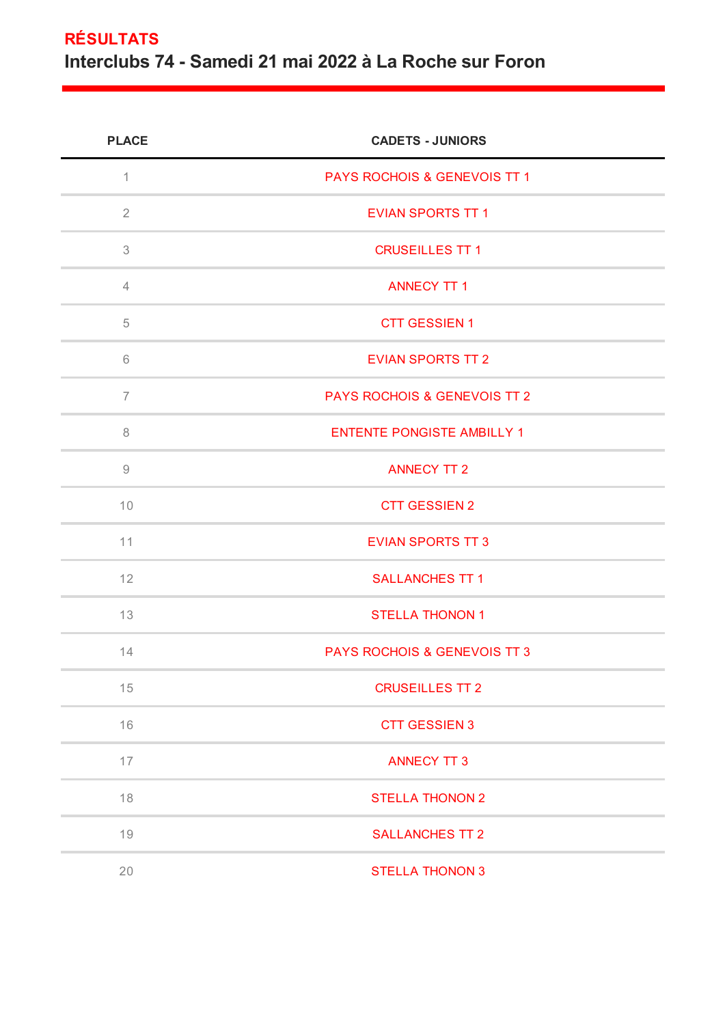## **RÉSULTATS Interclubs 74 - Samedi 21 mai 2022 à La Roche sur Foron**

| <b>PLACE</b>                                              | <b>CADETS - JUNIORS</b>                 |
|-----------------------------------------------------------|-----------------------------------------|
| $\mathbf 1$                                               | PAYS ROCHOIS & GENEVOIS TT 1            |
| $\overline{2}$                                            | <b>EVIAN SPORTS TT 1</b>                |
| 3                                                         | <b>CRUSEILLES TT 1</b>                  |
| $\overline{4}$                                            | <b>ANNECY TT 1</b>                      |
| 5                                                         | <b>CTT GESSIEN 1</b>                    |
| 6                                                         | <b>EVIAN SPORTS TT 2</b>                |
| $\overline{7}$                                            | <b>PAYS ROCHOIS &amp; GENEVOIS TT 2</b> |
| $\, 8$                                                    | <b>ENTENTE PONGISTE AMBILLY 1</b>       |
| $\mathcal{G}% _{M_{1},M_{2}}^{\alpha,\beta}(\mathcal{G})$ | <b>ANNECY TT 2</b>                      |
| 10                                                        | <b>CTT GESSIEN 2</b>                    |
| 11                                                        | <b>EVIAN SPORTS TT 3</b>                |
| 12                                                        | <b>SALLANCHES TT 1</b>                  |
| 13                                                        | <b>STELLA THONON 1</b>                  |
| 14                                                        | <b>PAYS ROCHOIS &amp; GENEVOIS TT 3</b> |
| 15                                                        | <b>CRUSEILLES TT 2</b>                  |
| 16                                                        | <b>CTT GESSIEN 3</b>                    |
| 17                                                        | <b>ANNECY TT 3</b>                      |
| 18                                                        | <b>STELLA THONON 2</b>                  |
| 19                                                        | <b>SALLANCHES TT 2</b>                  |
| 20                                                        | <b>STELLA THONON 3</b>                  |